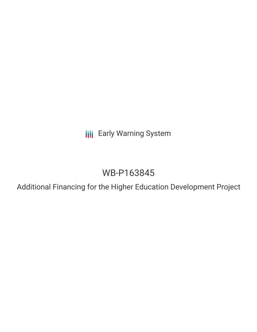**III** Early Warning System

# WB-P163845

Additional Financing for the Higher Education Development Project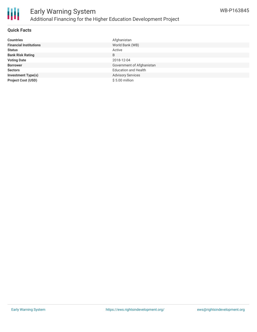

## **Quick Facts**

| <b>Countries</b>              | Afghanistan                 |
|-------------------------------|-----------------------------|
| <b>Financial Institutions</b> | World Bank (WB)             |
| <b>Status</b>                 | Active                      |
| <b>Bank Risk Rating</b>       | B                           |
| <b>Voting Date</b>            | 2018-12-04                  |
| <b>Borrower</b>               | Government of Afghanistan   |
| <b>Sectors</b>                | <b>Education and Health</b> |
| <b>Investment Type(s)</b>     | <b>Advisory Services</b>    |
| <b>Project Cost (USD)</b>     | $$5.00$ million             |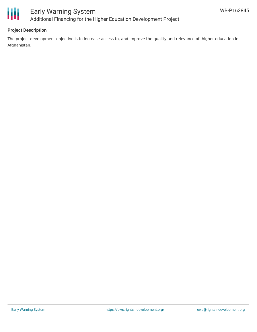

# **Project Description**

The project development objective is to increase access to, and improve the quality and relevance of, higher education in Afghanistan.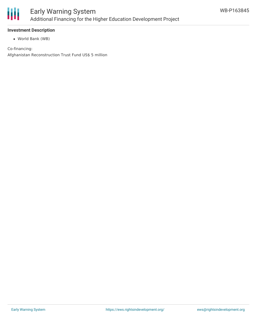

#### **Investment Description**

World Bank (WB)

Co-financing: Afghanistan Reconstruction Trust Fund US\$ 5 million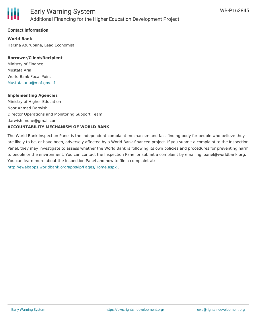

#### **Contact Information**

**World Bank** Harsha Aturupane, Lead Economist

#### **Borrower/Client/Recipient**

Ministry of Finance Mustafa Aria World Bank Focal Point [Mustafa.aria@mof.gov.af](mailto:Mustafa.aria@mof.gov.af)

#### **Implementing Agencies**

Ministry of Higher Education Noor Ahmad Darwish Director Operations and Monitoring Support Team darwish.mohe@gmail.com **ACCOUNTABILITY MECHANISM OF WORLD BANK**

# The World Bank Inspection Panel is the independent complaint mechanism and fact-finding body for people who believe they are likely to be, or have been, adversely affected by a World Bank-financed project. If you submit a complaint to the Inspection Panel, they may investigate to assess whether the World Bank is following its own policies and procedures for preventing harm to people or the environment. You can contact the Inspection Panel or submit a complaint by emailing ipanel@worldbank.org. You can learn more about the Inspection Panel and how to file a complaint at: <http://ewebapps.worldbank.org/apps/ip/Pages/Home.aspx> .